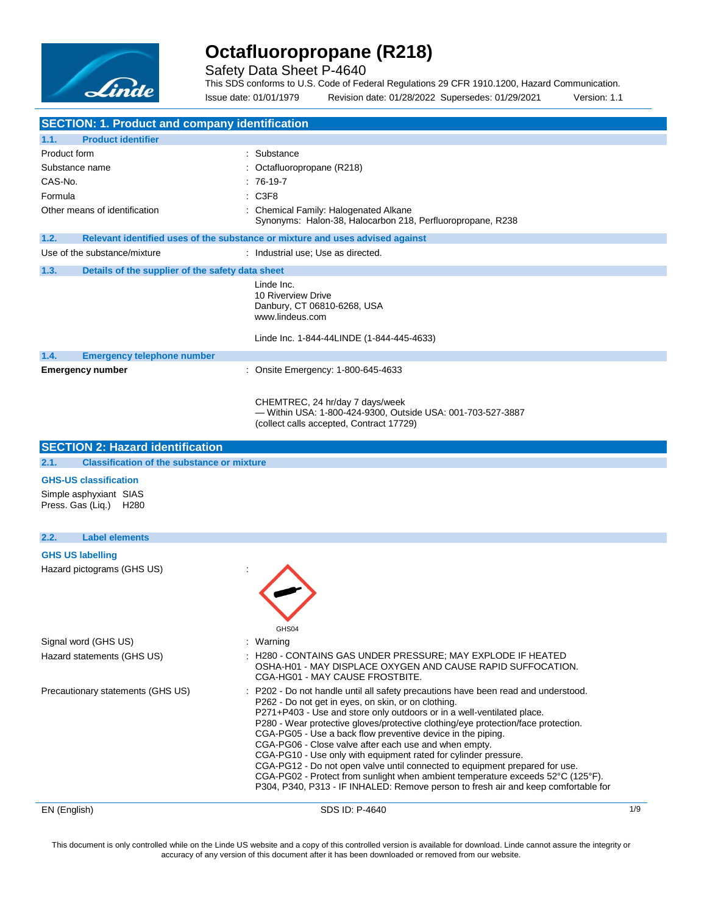

Safety Data Sheet P-4640

This SDS conforms to U.S. Code of Federal Regulations 29 CFR 1910.1200, Hazard Communication. Issue date: 01/01/1979 Revision date: 01/28/2022 Supersedes: 01/29/2021 Version: 1.1

| <b>SECTION: 1. Product and company identification</b>           |                                                                                                                                                                                                                                                                                                                                                                                                                                                                                                                                                                                                                                                                                                                                                             |     |
|-----------------------------------------------------------------|-------------------------------------------------------------------------------------------------------------------------------------------------------------------------------------------------------------------------------------------------------------------------------------------------------------------------------------------------------------------------------------------------------------------------------------------------------------------------------------------------------------------------------------------------------------------------------------------------------------------------------------------------------------------------------------------------------------------------------------------------------------|-----|
| 1.1.<br><b>Product identifier</b>                               |                                                                                                                                                                                                                                                                                                                                                                                                                                                                                                                                                                                                                                                                                                                                                             |     |
| Product form                                                    | Substance                                                                                                                                                                                                                                                                                                                                                                                                                                                                                                                                                                                                                                                                                                                                                   |     |
| Substance name                                                  | Octafluoropropane (R218)                                                                                                                                                                                                                                                                                                                                                                                                                                                                                                                                                                                                                                                                                                                                    |     |
| CAS-No.                                                         | 76-19-7                                                                                                                                                                                                                                                                                                                                                                                                                                                                                                                                                                                                                                                                                                                                                     |     |
| Formula                                                         | C3F8                                                                                                                                                                                                                                                                                                                                                                                                                                                                                                                                                                                                                                                                                                                                                        |     |
| Other means of identification                                   | Chemical Family: Halogenated Alkane<br>Synonyms: Halon-38, Halocarbon 218, Perfluoropropane, R238                                                                                                                                                                                                                                                                                                                                                                                                                                                                                                                                                                                                                                                           |     |
| 1.2.                                                            | Relevant identified uses of the substance or mixture and uses advised against                                                                                                                                                                                                                                                                                                                                                                                                                                                                                                                                                                                                                                                                               |     |
| Use of the substance/mixture                                    | : Industrial use; Use as directed.                                                                                                                                                                                                                                                                                                                                                                                                                                                                                                                                                                                                                                                                                                                          |     |
| 1.3.<br>Details of the supplier of the safety data sheet        |                                                                                                                                                                                                                                                                                                                                                                                                                                                                                                                                                                                                                                                                                                                                                             |     |
|                                                                 | Linde Inc.<br>10 Riverview Drive<br>Danbury, CT 06810-6268, USA<br>www.lindeus.com<br>Linde Inc. 1-844-44LINDE (1-844-445-4633)                                                                                                                                                                                                                                                                                                                                                                                                                                                                                                                                                                                                                             |     |
|                                                                 |                                                                                                                                                                                                                                                                                                                                                                                                                                                                                                                                                                                                                                                                                                                                                             |     |
| 1.4.<br><b>Emergency telephone number</b>                       | : Onsite Emergency: 1-800-645-4633                                                                                                                                                                                                                                                                                                                                                                                                                                                                                                                                                                                                                                                                                                                          |     |
| <b>Emergency number</b>                                         |                                                                                                                                                                                                                                                                                                                                                                                                                                                                                                                                                                                                                                                                                                                                                             |     |
|                                                                 | CHEMTREC, 24 hr/day 7 days/week<br>- Within USA: 1-800-424-9300, Outside USA: 001-703-527-3887<br>(collect calls accepted, Contract 17729)                                                                                                                                                                                                                                                                                                                                                                                                                                                                                                                                                                                                                  |     |
| <b>SECTION 2: Hazard identification</b>                         |                                                                                                                                                                                                                                                                                                                                                                                                                                                                                                                                                                                                                                                                                                                                                             |     |
| 2.1.<br><b>Classification of the substance or mixture</b>       |                                                                                                                                                                                                                                                                                                                                                                                                                                                                                                                                                                                                                                                                                                                                                             |     |
| <b>GHS-US classification</b>                                    |                                                                                                                                                                                                                                                                                                                                                                                                                                                                                                                                                                                                                                                                                                                                                             |     |
| Simple asphyxiant SIAS<br>Press. Gas (Liq.)<br>H <sub>280</sub> |                                                                                                                                                                                                                                                                                                                                                                                                                                                                                                                                                                                                                                                                                                                                                             |     |
| <b>Label elements</b><br>2.2.                                   |                                                                                                                                                                                                                                                                                                                                                                                                                                                                                                                                                                                                                                                                                                                                                             |     |
| <b>GHS US labelling</b>                                         |                                                                                                                                                                                                                                                                                                                                                                                                                                                                                                                                                                                                                                                                                                                                                             |     |
| Hazard pictograms (GHS US)                                      |                                                                                                                                                                                                                                                                                                                                                                                                                                                                                                                                                                                                                                                                                                                                                             |     |
| Signal word (GHS US)                                            | GHS04<br>: Warning                                                                                                                                                                                                                                                                                                                                                                                                                                                                                                                                                                                                                                                                                                                                          |     |
| Hazard statements (GHS US)                                      | H280 - CONTAINS GAS UNDER PRESSURE; MAY EXPLODE IF HEATED<br>OSHA-H01 - MAY DISPLACE OXYGEN AND CAUSE RAPID SUFFOCATION.<br>CGA-HG01 - MAY CAUSE FROSTBITE.                                                                                                                                                                                                                                                                                                                                                                                                                                                                                                                                                                                                 |     |
| Precautionary statements (GHS US)                               | : P202 - Do not handle until all safety precautions have been read and understood.<br>P262 - Do not get in eyes, on skin, or on clothing.<br>P271+P403 - Use and store only outdoors or in a well-ventilated place.<br>P280 - Wear protective gloves/protective clothing/eye protection/face protection.<br>CGA-PG05 - Use a back flow preventive device in the piping.<br>CGA-PG06 - Close valve after each use and when empty.<br>CGA-PG10 - Use only with equipment rated for cylinder pressure.<br>CGA-PG12 - Do not open valve until connected to equipment prepared for use.<br>CGA-PG02 - Protect from sunlight when ambient temperature exceeds 52°C (125°F).<br>P304, P340, P313 - IF INHALED: Remove person to fresh air and keep comfortable for |     |
| EN (English)                                                    | SDS ID: P-4640                                                                                                                                                                                                                                                                                                                                                                                                                                                                                                                                                                                                                                                                                                                                              | 1/9 |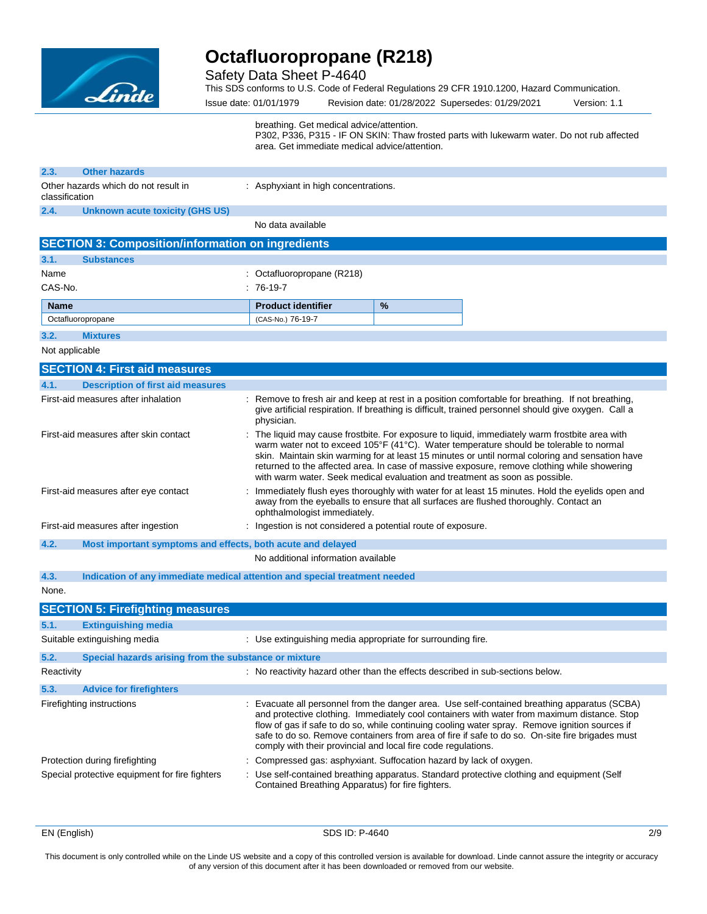

Safety Data Sheet P-4640

This SDS conforms to U.S. Code of Federal Regulations 29 CFR 1910.1200, Hazard Communication.

Issue date: 01/01/1979 Revision date: 01/28/2022 Supersedes: 01/29/2021 Version: 1.1

breathing. Get medical advice/attention.

P302, P336, P315 - IF ON SKIN: Thaw frosted parts with lukewarm water. Do not rub affected area. Get immediate medical advice/attention.

| 2.3.           | <b>Other hazards</b>                                                       |                                                                                |   |                                                                                                                                                                                                                                                                                                                                                                                                  |
|----------------|----------------------------------------------------------------------------|--------------------------------------------------------------------------------|---|--------------------------------------------------------------------------------------------------------------------------------------------------------------------------------------------------------------------------------------------------------------------------------------------------------------------------------------------------------------------------------------------------|
| classification | Other hazards which do not result in                                       | : Asphyxiant in high concentrations.                                           |   |                                                                                                                                                                                                                                                                                                                                                                                                  |
| 2.4.           | <b>Unknown acute toxicity (GHS US)</b>                                     |                                                                                |   |                                                                                                                                                                                                                                                                                                                                                                                                  |
|                |                                                                            | No data available                                                              |   |                                                                                                                                                                                                                                                                                                                                                                                                  |
|                | <b>SECTION 3: Composition/information on ingredients</b>                   |                                                                                |   |                                                                                                                                                                                                                                                                                                                                                                                                  |
| 3.1.           | <b>Substances</b>                                                          |                                                                                |   |                                                                                                                                                                                                                                                                                                                                                                                                  |
| Name           |                                                                            | : Octafluoropropane (R218)                                                     |   |                                                                                                                                                                                                                                                                                                                                                                                                  |
| CAS-No.        |                                                                            | $:76-19-7$                                                                     |   |                                                                                                                                                                                                                                                                                                                                                                                                  |
| <b>Name</b>    |                                                                            | <b>Product identifier</b>                                                      | % |                                                                                                                                                                                                                                                                                                                                                                                                  |
|                | Octafluoropropane                                                          | (CAS-No.) 76-19-7                                                              |   |                                                                                                                                                                                                                                                                                                                                                                                                  |
| 3.2.           | <b>Mixtures</b>                                                            |                                                                                |   |                                                                                                                                                                                                                                                                                                                                                                                                  |
| Not applicable |                                                                            |                                                                                |   |                                                                                                                                                                                                                                                                                                                                                                                                  |
|                | <b>SECTION 4: First aid measures</b>                                       |                                                                                |   |                                                                                                                                                                                                                                                                                                                                                                                                  |
| 4.1.           | <b>Description of first aid measures</b>                                   |                                                                                |   |                                                                                                                                                                                                                                                                                                                                                                                                  |
|                | First-aid measures after inhalation                                        | physician.                                                                     |   | : Remove to fresh air and keep at rest in a position comfortable for breathing. If not breathing,<br>give artificial respiration. If breathing is difficult, trained personnel should give oxygen. Call a                                                                                                                                                                                        |
|                | First-aid measures after skin contact                                      | with warm water. Seek medical evaluation and treatment as soon as possible.    |   | : The liquid may cause frostbite. For exposure to liquid, immediately warm frostbite area with<br>warm water not to exceed 105°F (41°C). Water temperature should be tolerable to normal<br>skin. Maintain skin warming for at least 15 minutes or until normal coloring and sensation have<br>returned to the affected area. In case of massive exposure, remove clothing while showering       |
|                | First-aid measures after eye contact                                       | ophthalmologist immediately.                                                   |   | Immediately flush eyes thoroughly with water for at least 15 minutes. Hold the eyelids open and<br>away from the eyeballs to ensure that all surfaces are flushed thoroughly. Contact an                                                                                                                                                                                                         |
|                | First-aid measures after ingestion                                         | : Ingestion is not considered a potential route of exposure.                   |   |                                                                                                                                                                                                                                                                                                                                                                                                  |
| 4.2.           | Most important symptoms and effects, both acute and delayed                |                                                                                |   |                                                                                                                                                                                                                                                                                                                                                                                                  |
|                |                                                                            | No additional information available                                            |   |                                                                                                                                                                                                                                                                                                                                                                                                  |
| 4.3.           | Indication of any immediate medical attention and special treatment needed |                                                                                |   |                                                                                                                                                                                                                                                                                                                                                                                                  |
| None.          |                                                                            |                                                                                |   |                                                                                                                                                                                                                                                                                                                                                                                                  |
|                | <b>SECTION 5: Firefighting measures</b>                                    |                                                                                |   |                                                                                                                                                                                                                                                                                                                                                                                                  |
| 5.1.           | <b>Extinguishing media</b>                                                 |                                                                                |   |                                                                                                                                                                                                                                                                                                                                                                                                  |
|                | Suitable extinguishing media                                               | : Use extinguishing media appropriate for surrounding fire.                    |   |                                                                                                                                                                                                                                                                                                                                                                                                  |
| 5.2.           | Special hazards arising from the substance or mixture                      |                                                                                |   |                                                                                                                                                                                                                                                                                                                                                                                                  |
| Reactivity     |                                                                            | : No reactivity hazard other than the effects described in sub-sections below. |   |                                                                                                                                                                                                                                                                                                                                                                                                  |
| 5.3.           | <b>Advice for firefighters</b>                                             |                                                                                |   |                                                                                                                                                                                                                                                                                                                                                                                                  |
|                | Firefighting instructions                                                  | comply with their provincial and local fire code regulations.                  |   | : Evacuate all personnel from the danger area. Use self-contained breathing apparatus (SCBA)<br>and protective clothing. Immediately cool containers with water from maximum distance. Stop<br>flow of gas if safe to do so, while continuing cooling water spray. Remove ignition sources if<br>safe to do so. Remove containers from area of fire if safe to do so. On-site fire brigades must |
|                | Protection during firefighting                                             | : Compressed gas: asphyxiant. Suffocation hazard by lack of oxygen.            |   |                                                                                                                                                                                                                                                                                                                                                                                                  |
|                | Special protective equipment for fire fighters                             | Contained Breathing Apparatus) for fire fighters.                              |   | : Use self-contained breathing apparatus. Standard protective clothing and equipment (Self                                                                                                                                                                                                                                                                                                       |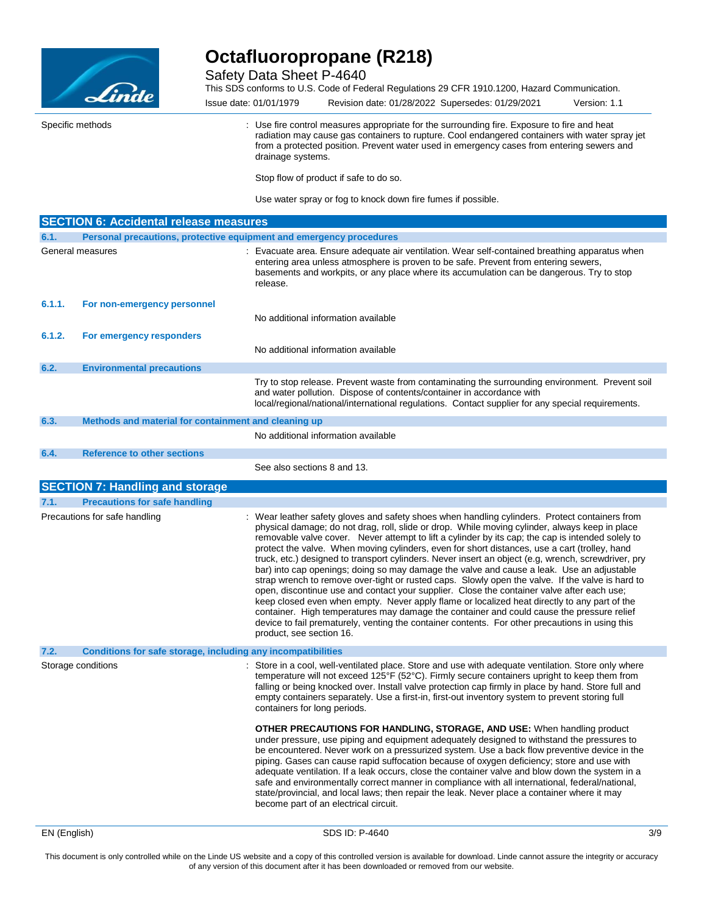

Safety Data Sheet P-4640

This SDS conforms to U.S. Code of Federal Regulations 29 CFR 1910.1200, Hazard Communication.

Issue date: 01/01/1979 Revision date: 01/28/2022 Supersedes: 01/29/2021 Version: 1.1 Specific methods **Specific methods** : Use fire control measures appropriate for the surrounding fire. Exposure to fire and heat radiation may cause gas containers to rupture. Cool endangered containers with water spray jet from a protected position. Prevent water used in emergency cases from entering sewers and drainage systems.

Stop flow of product if safe to do so.

Use water spray or fog to knock down fire fumes if possible.

|        | <b>SECTION 6: Accidental release measures</b>                       |                                                                                                                                                                                                                                                                                                                                                                                                                                                                                                                                                                                                                                                                                                                                                                                                                                                                                                                                                                                                                                                                                                                                                                            |
|--------|---------------------------------------------------------------------|----------------------------------------------------------------------------------------------------------------------------------------------------------------------------------------------------------------------------------------------------------------------------------------------------------------------------------------------------------------------------------------------------------------------------------------------------------------------------------------------------------------------------------------------------------------------------------------------------------------------------------------------------------------------------------------------------------------------------------------------------------------------------------------------------------------------------------------------------------------------------------------------------------------------------------------------------------------------------------------------------------------------------------------------------------------------------------------------------------------------------------------------------------------------------|
| 6.1.   | Personal precautions, protective equipment and emergency procedures |                                                                                                                                                                                                                                                                                                                                                                                                                                                                                                                                                                                                                                                                                                                                                                                                                                                                                                                                                                                                                                                                                                                                                                            |
|        | General measures                                                    | : Evacuate area. Ensure adequate air ventilation. Wear self-contained breathing apparatus when<br>entering area unless atmosphere is proven to be safe. Prevent from entering sewers,<br>basements and workpits, or any place where its accumulation can be dangerous. Try to stop<br>release.                                                                                                                                                                                                                                                                                                                                                                                                                                                                                                                                                                                                                                                                                                                                                                                                                                                                             |
| 6.1.1. | For non-emergency personnel                                         | No additional information available                                                                                                                                                                                                                                                                                                                                                                                                                                                                                                                                                                                                                                                                                                                                                                                                                                                                                                                                                                                                                                                                                                                                        |
| 6.1.2. | For emergency responders                                            | No additional information available                                                                                                                                                                                                                                                                                                                                                                                                                                                                                                                                                                                                                                                                                                                                                                                                                                                                                                                                                                                                                                                                                                                                        |
| 6.2.   | <b>Environmental precautions</b>                                    |                                                                                                                                                                                                                                                                                                                                                                                                                                                                                                                                                                                                                                                                                                                                                                                                                                                                                                                                                                                                                                                                                                                                                                            |
|        |                                                                     | Try to stop release. Prevent waste from contaminating the surrounding environment. Prevent soil<br>and water pollution. Dispose of contents/container in accordance with<br>local/regional/national/international regulations. Contact supplier for any special requirements.                                                                                                                                                                                                                                                                                                                                                                                                                                                                                                                                                                                                                                                                                                                                                                                                                                                                                              |
| 6.3.   | Methods and material for containment and cleaning up                |                                                                                                                                                                                                                                                                                                                                                                                                                                                                                                                                                                                                                                                                                                                                                                                                                                                                                                                                                                                                                                                                                                                                                                            |
|        |                                                                     | No additional information available                                                                                                                                                                                                                                                                                                                                                                                                                                                                                                                                                                                                                                                                                                                                                                                                                                                                                                                                                                                                                                                                                                                                        |
| 6.4.   | <b>Reference to other sections</b>                                  |                                                                                                                                                                                                                                                                                                                                                                                                                                                                                                                                                                                                                                                                                                                                                                                                                                                                                                                                                                                                                                                                                                                                                                            |
|        |                                                                     | See also sections 8 and 13.                                                                                                                                                                                                                                                                                                                                                                                                                                                                                                                                                                                                                                                                                                                                                                                                                                                                                                                                                                                                                                                                                                                                                |
|        | <b>SECTION 7: Handling and storage</b>                              |                                                                                                                                                                                                                                                                                                                                                                                                                                                                                                                                                                                                                                                                                                                                                                                                                                                                                                                                                                                                                                                                                                                                                                            |
| 7.1.   | <b>Precautions for safe handling</b>                                |                                                                                                                                                                                                                                                                                                                                                                                                                                                                                                                                                                                                                                                                                                                                                                                                                                                                                                                                                                                                                                                                                                                                                                            |
|        | Precautions for safe handling                                       | : Wear leather safety gloves and safety shoes when handling cylinders. Protect containers from<br>physical damage; do not drag, roll, slide or drop. While moving cylinder, always keep in place<br>removable valve cover. Never attempt to lift a cylinder by its cap; the cap is intended solely to<br>protect the valve. When moving cylinders, even for short distances, use a cart (trolley, hand<br>truck, etc.) designed to transport cylinders. Never insert an object (e.g, wrench, screwdriver, pry<br>bar) into cap openings; doing so may damage the valve and cause a leak. Use an adjustable<br>strap wrench to remove over-tight or rusted caps. Slowly open the valve. If the valve is hard to<br>open, discontinue use and contact your supplier. Close the container valve after each use;<br>keep closed even when empty. Never apply flame or localized heat directly to any part of the<br>container. High temperatures may damage the container and could cause the pressure relief<br>device to fail prematurely, venting the container contents. For other precautions in using this<br>product, see section 16.                                   |
| 7.2.   | Conditions for safe storage, including any incompatibilities        |                                                                                                                                                                                                                                                                                                                                                                                                                                                                                                                                                                                                                                                                                                                                                                                                                                                                                                                                                                                                                                                                                                                                                                            |
|        | Storage conditions                                                  | : Store in a cool, well-ventilated place. Store and use with adequate ventilation. Store only where<br>temperature will not exceed 125°F (52°C). Firmly secure containers upright to keep them from<br>falling or being knocked over. Install valve protection cap firmly in place by hand. Store full and<br>empty containers separately. Use a first-in, first-out inventory system to prevent storing full<br>containers for long periods.<br><b>OTHER PRECAUTIONS FOR HANDLING, STORAGE, AND USE:</b> When handling product<br>under pressure, use piping and equipment adequately designed to withstand the pressures to<br>be encountered. Never work on a pressurized system. Use a back flow preventive device in the<br>piping. Gases can cause rapid suffocation because of oxygen deficiency; store and use with<br>adequate ventilation. If a leak occurs, close the container valve and blow down the system in a<br>safe and environmentally correct manner in compliance with all international, federal/national,<br>state/provincial, and local laws; then repair the leak. Never place a container where it may<br>become part of an electrical circuit. |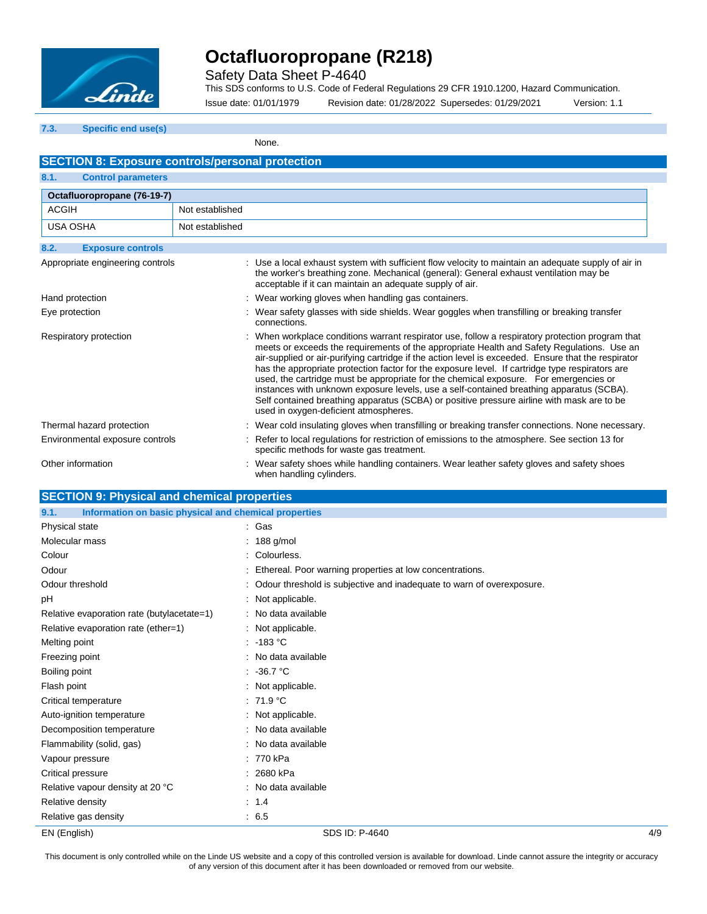

Safety Data Sheet P-4640

This SDS conforms to U.S. Code of Federal Regulations 29 CFR 1910.1200, Hazard Communication.

Issue date: 01/01/1979 Revision date: 01/28/2022 Supersedes: 01/29/2021 Version: 1.1

### **7.3. Specific end use(s)**

None.

| <b>SECTION 8: Exposure controls/personal protection</b>       |                                                                                                                                                                                                                                                                                                                                                                                                                                                                                                                                                                                                                                                                                                                                      |  |  |  |
|---------------------------------------------------------------|--------------------------------------------------------------------------------------------------------------------------------------------------------------------------------------------------------------------------------------------------------------------------------------------------------------------------------------------------------------------------------------------------------------------------------------------------------------------------------------------------------------------------------------------------------------------------------------------------------------------------------------------------------------------------------------------------------------------------------------|--|--|--|
| 8.1.<br><b>Control parameters</b>                             |                                                                                                                                                                                                                                                                                                                                                                                                                                                                                                                                                                                                                                                                                                                                      |  |  |  |
| Octafluoropropane (76-19-7)                                   |                                                                                                                                                                                                                                                                                                                                                                                                                                                                                                                                                                                                                                                                                                                                      |  |  |  |
| <b>ACGIH</b>                                                  | Not established                                                                                                                                                                                                                                                                                                                                                                                                                                                                                                                                                                                                                                                                                                                      |  |  |  |
| <b>USA OSHA</b>                                               | Not established                                                                                                                                                                                                                                                                                                                                                                                                                                                                                                                                                                                                                                                                                                                      |  |  |  |
| 8.2.<br><b>Exposure controls</b>                              |                                                                                                                                                                                                                                                                                                                                                                                                                                                                                                                                                                                                                                                                                                                                      |  |  |  |
| Appropriate engineering controls                              | : Use a local exhaust system with sufficient flow velocity to maintain an adequate supply of air in<br>the worker's breathing zone. Mechanical (general): General exhaust ventilation may be<br>acceptable if it can maintain an adequate supply of air.                                                                                                                                                                                                                                                                                                                                                                                                                                                                             |  |  |  |
| Hand protection                                               | : Wear working gloves when handling gas containers.                                                                                                                                                                                                                                                                                                                                                                                                                                                                                                                                                                                                                                                                                  |  |  |  |
| Eye protection                                                | : Wear safety glasses with side shields. Wear goggles when transfilling or breaking transfer<br>connections.                                                                                                                                                                                                                                                                                                                                                                                                                                                                                                                                                                                                                         |  |  |  |
| Respiratory protection                                        | : When workplace conditions warrant respirator use, follow a respiratory protection program that<br>meets or exceeds the requirements of the appropriate Health and Safety Regulations. Use an<br>air-supplied or air-purifying cartridge if the action level is exceeded. Ensure that the respirator<br>has the appropriate protection factor for the exposure level. If cartridge type respirators are<br>used, the cartridge must be appropriate for the chemical exposure. For emergencies or<br>instances with unknown exposure levels, use a self-contained breathing apparatus (SCBA).<br>Self contained breathing apparatus (SCBA) or positive pressure airline with mask are to be<br>used in oxygen-deficient atmospheres. |  |  |  |
| Thermal hazard protection                                     | : Wear cold insulating gloves when transfilling or breaking transfer connections. None necessary.                                                                                                                                                                                                                                                                                                                                                                                                                                                                                                                                                                                                                                    |  |  |  |
| Environmental exposure controls                               | : Refer to local regulations for restriction of emissions to the atmosphere. See section 13 for<br>specific methods for waste gas treatment.                                                                                                                                                                                                                                                                                                                                                                                                                                                                                                                                                                                         |  |  |  |
| Other information                                             | : Wear safety shoes while handling containers. Wear leather safety gloves and safety shoes<br>when handling cylinders.                                                                                                                                                                                                                                                                                                                                                                                                                                                                                                                                                                                                               |  |  |  |
| <b>SECTION 9: Physical and chemical properties</b>            |                                                                                                                                                                                                                                                                                                                                                                                                                                                                                                                                                                                                                                                                                                                                      |  |  |  |
| 9.1.<br>Information on basic physical and chemical properties |                                                                                                                                                                                                                                                                                                                                                                                                                                                                                                                                                                                                                                                                                                                                      |  |  |  |

| Physical state                             | : Gas                                                                   |     |
|--------------------------------------------|-------------------------------------------------------------------------|-----|
| Molecular mass                             | : 188 g/mol                                                             |     |
| Colour                                     | : Colourless.                                                           |     |
| Odour                                      | : Ethereal. Poor warning properties at low concentrations.              |     |
| Odour threshold                            | : Odour threshold is subjective and inadequate to warn of overexposure. |     |
| рH                                         | : Not applicable.                                                       |     |
| Relative evaporation rate (butylacetate=1) | : No data available                                                     |     |
| Relative evaporation rate (ether=1)        | : Not applicable.                                                       |     |
| Melting point                              | : 183 °C                                                                |     |
| Freezing point                             | : No data available                                                     |     |
| Boiling point                              | : 36.7 °C                                                               |     |
| Flash point                                | : Not applicable.                                                       |     |
| Critical temperature                       | : 71.9 °C                                                               |     |
| Auto-ignition temperature                  | : Not applicable.                                                       |     |
| Decomposition temperature                  | : No data available                                                     |     |
| Flammability (solid, gas)                  | : No data available                                                     |     |
| Vapour pressure                            | : 770 kPa                                                               |     |
| Critical pressure                          | : 2680 kPa                                                              |     |
| Relative vapour density at 20 °C           | : No data available                                                     |     |
| Relative density                           | : 1.4                                                                   |     |
| Relative gas density                       | : 6.5                                                                   |     |
| EN (English)                               | SDS ID: P-4640                                                          | 4/9 |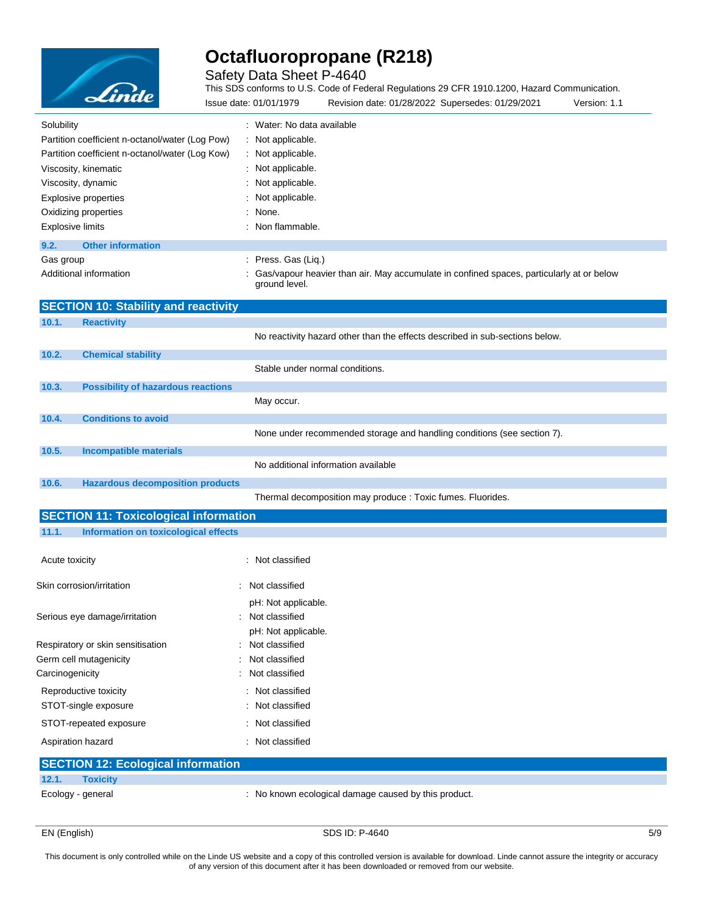

Safety Data Sheet P-4640

This SDS conforms to U.S. Code of Federal Regulations 29 CFR 1910.1200, Hazard Communication.

| <b>Elinae</b>                                   | Issue date: 01/01/1979     | Revision date: 01/28/2022 Supersedes: 01/29/2021                                           | Version: 1.1 |
|-------------------------------------------------|----------------------------|--------------------------------------------------------------------------------------------|--------------|
| Solubility                                      | : Water: No data available |                                                                                            |              |
| Partition coefficient n-octanol/water (Log Pow) | : Not applicable.          |                                                                                            |              |
| Partition coefficient n-octanol/water (Log Kow) | : Not applicable.          |                                                                                            |              |
| Viscosity, kinematic                            | : Not applicable.          |                                                                                            |              |
| Viscosity, dynamic                              | : Not applicable.          |                                                                                            |              |
| Explosive properties                            | : Not applicable.          |                                                                                            |              |
| Oxidizing properties                            | : None.                    |                                                                                            |              |
| <b>Explosive limits</b>                         | $:$ Non flammable.         |                                                                                            |              |
| <b>Other information</b><br>9.2.                |                            |                                                                                            |              |
| Gas group                                       | : Press. Gas (Lig.)        |                                                                                            |              |
| Additional information                          | ground level.              | : Gas/vapour heavier than air. May accumulate in confined spaces, particularly at or below |              |

|       | <b>SECTION 10: Stability and reactivity</b>  |                                                                              |
|-------|----------------------------------------------|------------------------------------------------------------------------------|
| 10.1. | <b>Reactivity</b>                            |                                                                              |
|       |                                              | No reactivity hazard other than the effects described in sub-sections below. |
| 10.2. | <b>Chemical stability</b>                    |                                                                              |
|       |                                              | Stable under normal conditions.                                              |
| 10.3. | <b>Possibility of hazardous reactions</b>    |                                                                              |
|       |                                              | May occur.                                                                   |
| 10.4. | <b>Conditions to avoid</b>                   |                                                                              |
|       |                                              | None under recommended storage and handling conditions (see section 7).      |
| 10.5. | <b>Incompatible materials</b>                |                                                                              |
|       |                                              | No additional information available                                          |
| 10.6. | <b>Hazardous decomposition products</b>      |                                                                              |
|       |                                              | Thermal decomposition may produce : Toxic fumes. Fluorides.                  |
|       | <b>SECTION 11: Toxicological information</b> |                                                                              |

### **11.1. Information on toxicological effects**

| Acute toxicity                            | : Not classified                                               |
|-------------------------------------------|----------------------------------------------------------------|
| Skin corrosion/irritation                 | : Not classified                                               |
| Serious eye damage/irritation             | pH: Not applicable.<br>: Not classified<br>pH: Not applicable. |
| Respiratory or skin sensitisation         | : Not classified                                               |
| Germ cell mutagenicity                    | : Not classified                                               |
| Carcinogenicity                           | : Not classified                                               |
| Reproductive toxicity                     | : Not classified                                               |
| STOT-single exposure                      | : Not classified                                               |
| STOT-repeated exposure                    | : Not classified                                               |
| Aspiration hazard                         | : Not classified                                               |
| <b>SECTION 12: Ecological information</b> |                                                                |
| 12.1.<br><b>Toxicity</b>                  |                                                                |
| Ecology - general                         | : No known ecological damage caused by this product.           |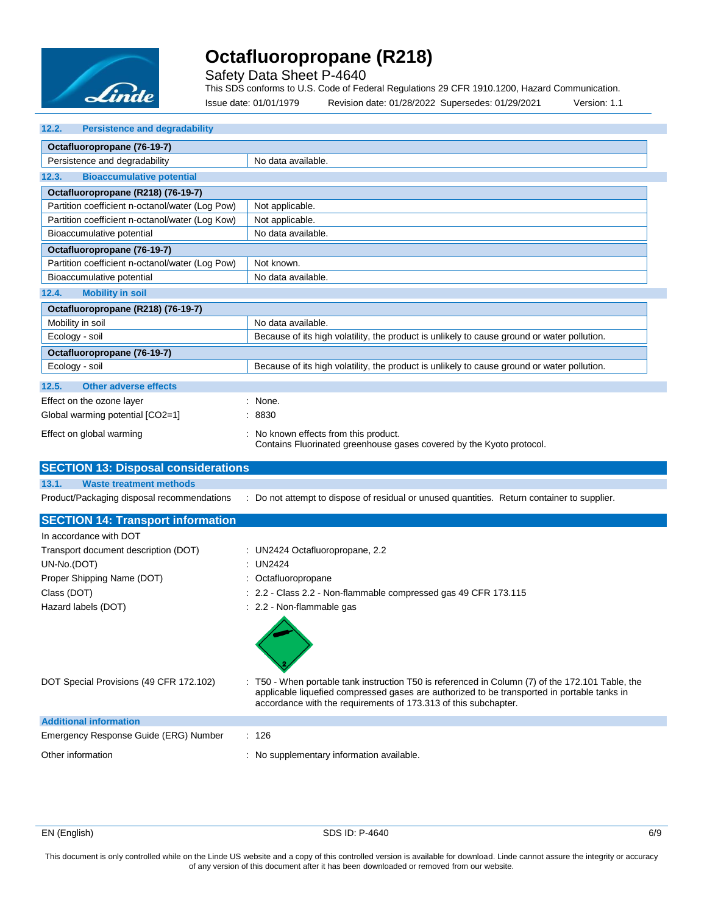

Safety Data Sheet P-4640

This SDS conforms to U.S. Code of Federal Regulations 29 CFR 1910.1200, Hazard Communication.

Issue date: 01/01/1979 Revision date: 01/28/2022 Supersedes: 01/29/2021 Version: 1.1

| <b>Persistence and degradability</b><br>12.2. |  |
|-----------------------------------------------|--|
|-----------------------------------------------|--|

| Octafluoropropane (76-19-7)                        |                                                                                                               |
|----------------------------------------------------|---------------------------------------------------------------------------------------------------------------|
| Persistence and degradability                      | No data available.                                                                                            |
| <b>Bioaccumulative potential</b><br>12.3.          |                                                                                                               |
| Octafluoropropane (R218) (76-19-7)                 |                                                                                                               |
| Partition coefficient n-octanol/water (Log Pow)    | Not applicable.                                                                                               |
| Partition coefficient n-octanol/water (Log Kow)    | Not applicable.                                                                                               |
| Bioaccumulative potential                          | No data available.                                                                                            |
| Octafluoropropane (76-19-7)                        |                                                                                                               |
| Partition coefficient n-octanol/water (Log Pow)    | Not known.                                                                                                    |
| Bioaccumulative potential                          | No data available.                                                                                            |
| <b>Mobility in soil</b><br>12.4.                   |                                                                                                               |
| Octafluoropropane (R218) (76-19-7)                 |                                                                                                               |
| Mobility in soil                                   | No data available.                                                                                            |
| Ecology - soil                                     | Because of its high volatility, the product is unlikely to cause ground or water pollution.                   |
| Octafluoropropane (76-19-7)                        |                                                                                                               |
| Ecology - soil                                     | Because of its high volatility, the product is unlikely to cause ground or water pollution.                   |
| 12.5.<br><b>Other adverse effects</b>              |                                                                                                               |
| Effect on the ozone layer                          | : None.                                                                                                       |
| Global warming potential [CO2=1]                   | : 8830                                                                                                        |
| Effect on global warming                           | : No known effects from this product.<br>Contains Fluorinated greenhouse gases covered by the Kyoto protocol. |
| <b>CECTION 40. Disposal equality and provident</b> |                                                                                                               |

| SECTION 13. DISPOSAI CONSIDERATIONS                 |                                                                                                                                                                                                                                                                    |
|-----------------------------------------------------|--------------------------------------------------------------------------------------------------------------------------------------------------------------------------------------------------------------------------------------------------------------------|
| 13.1.<br><b>Waste treatment methods</b>             |                                                                                                                                                                                                                                                                    |
| Product/Packaging disposal recommendations          | : Do not attempt to dispose of residual or unused quantities. Return container to supplier.                                                                                                                                                                        |
| <b>SECTION 14: Transport information</b>            |                                                                                                                                                                                                                                                                    |
| In accordance with DOT                              |                                                                                                                                                                                                                                                                    |
| Transport document description (DOT)<br>UN-No.(DOT) | : UN2424 Octafluoropropane, 2.2<br>: UN2424                                                                                                                                                                                                                        |
| Proper Shipping Name (DOT)                          | : Octafluoropropane                                                                                                                                                                                                                                                |
| Class (DOT)                                         | : 2.2 - Class 2.2 - Non-flammable compressed gas 49 CFR 173.115                                                                                                                                                                                                    |
| Hazard labels (DOT)                                 | : 2.2 - Non-flammable gas                                                                                                                                                                                                                                          |
| DOT Special Provisions (49 CFR 172.102)             | : T50 - When portable tank instruction T50 is referenced in Column (7) of the 172.101 Table, the<br>applicable liquefied compressed gases are authorized to be transported in portable tanks in<br>accordance with the requirements of 173.313 of this subchapter. |
| <b>Additional information</b>                       |                                                                                                                                                                                                                                                                    |
| Emergency Response Guide (ERG) Number               | : 126                                                                                                                                                                                                                                                              |
| Other information                                   | : No supplementary information available.                                                                                                                                                                                                                          |

EN (English) SDS ID: P-4640 6/9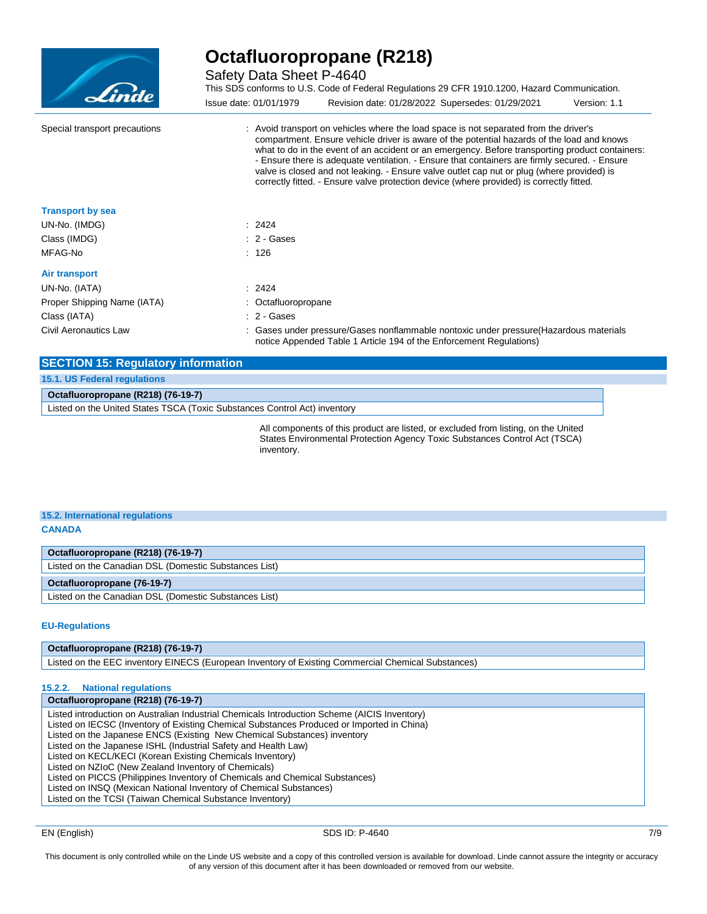

Safety Data Sheet P-4640

This SDS conforms to U.S. Code of Federal Regulations 29 CFR 1910.1200, Hazard Communication. Issue date: 01/01/1979 Revision date: 01/28/2022 Supersedes: 01/29/2021 Version: 1.1

Special transport precautions : : Avoid transport on vehicles where the load space is not separated from the driver's compartment. Ensure vehicle driver is aware of the potential hazards of the load and knows what to do in the event of an accident or an emergency. Before transporting product containers: - Ensure there is adequate ventilation. - Ensure that containers are firmly secured. - Ensure valve is closed and not leaking. - Ensure valve outlet cap nut or plug (where provided) is correctly fitted. - Ensure valve protection device (where provided) is correctly fitted. **Transport by sea** UN-No. (IMDG) : 2424 Class (IMDG)  $\qquad \qquad$  : 2 - Gases MFAG-No : 126 **Air transport** UN-No. (IATA) : 2424

Proper Shipping Name (IATA) : Octafluoropropane Class (IATA) : 2 - Gases Civil Aeronautics Law : Gases under pressure/Gases nonflammable nontoxic under pressure(Hazardous materials notice Appended Table 1 Article 194 of the Enforcement Regulations)

| <b>SECTION 15: Regulatory information</b>                                 |  |
|---------------------------------------------------------------------------|--|
| 15.1. US Federal regulations                                              |  |
| Octafluoropropane (R218) (76-19-7)                                        |  |
| Listed on the United States TSCA (Toxic Substances Control Act) inventory |  |

All components of this product are listed, or excluded from listing, on the United States Environmental Protection Agency Toxic Substances Control Act (TSCA) inventory.

#### **15.2. International regulations CANADA**

**Octafluoropropane (R218) (76-19-7)** Listed on the Canadian DSL (Domestic Substances List)

#### **Octafluoropropane (76-19-7)**

Listed on the Canadian DSL (Domestic Substances List)

#### **EU-Regulations**

#### **Octafluoropropane (R218) (76-19-7)**

Listed on the EEC inventory EINECS (European Inventory of Existing Commercial Chemical Substances)

#### **15.2.2. National regulations**

**Octafluoropropane (R218) (76-19-7)** Listed introduction on Australian Industrial Chemicals Introduction Scheme (AICIS Inventory) Listed on IECSC (Inventory of Existing Chemical Substances Produced or Imported in China) Listed on the Japanese ENCS (Existing New Chemical Substances) inventory Listed on the Japanese ISHL (Industrial Safety and Health Law) Listed on KECL/KECI (Korean Existing Chemicals Inventory) Listed on NZIoC (New Zealand Inventory of Chemicals) Listed on PICCS (Philippines Inventory of Chemicals and Chemical Substances) Listed on INSQ (Mexican National Inventory of Chemical Substances) Listed on the TCSI (Taiwan Chemical Substance Inventory)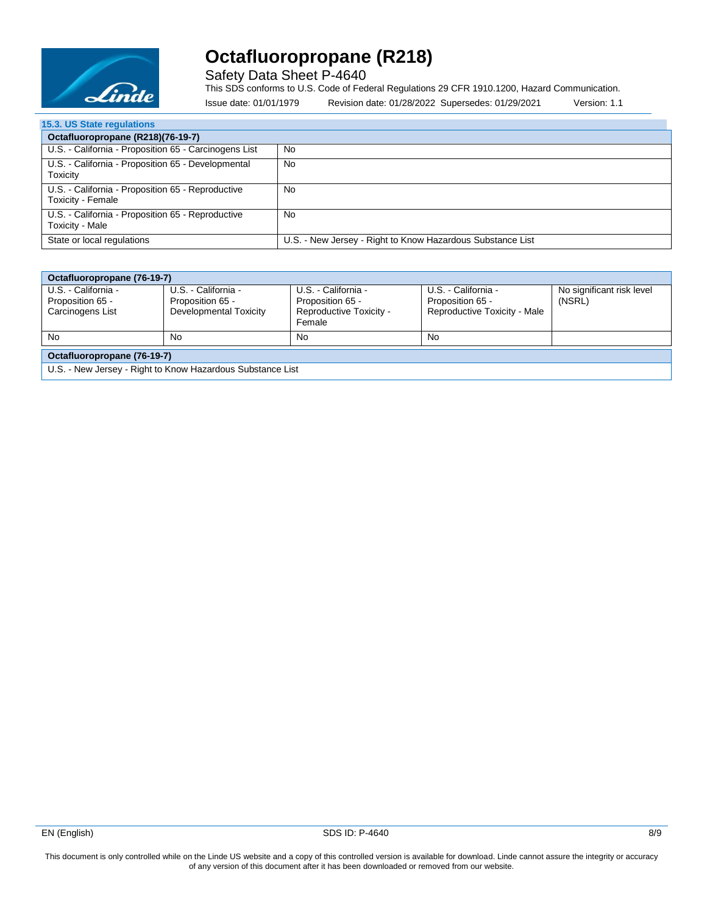

Safety Data Sheet P-4640

This SDS conforms to U.S. Code of Federal Regulations 29 CFR 1910.1200, Hazard Communication.

Issue date: 01/01/1979 Revision date: 01/28/2022 Supersedes: 01/29/2021 Version: 1.1

| <b>15.3. US State regulations</b>                                      |                                                            |
|------------------------------------------------------------------------|------------------------------------------------------------|
| Octafluoropropane (R218)(76-19-7)                                      |                                                            |
| U.S. - California - Proposition 65 - Carcinogens List                  | No                                                         |
| U.S. - California - Proposition 65 - Developmental<br>Toxicity         | No                                                         |
| U.S. - California - Proposition 65 - Reproductive<br>Toxicity - Female | No                                                         |
| U.S. - California - Proposition 65 - Reproductive<br>Toxicity - Male   | No                                                         |
| State or local regulations                                             | U.S. - New Jersey - Right to Know Hazardous Substance List |

| Octafluoropropane (76-19-7)                                |                        |                         |                              |                           |  |
|------------------------------------------------------------|------------------------|-------------------------|------------------------------|---------------------------|--|
| U.S. - California -                                        | U.S. - California -    | U.S. - California -     | U.S. - California -          | No significant risk level |  |
| Proposition 65 -                                           | Proposition 65 -       | Proposition 65 -        | Proposition 65 -             | (NSRL)                    |  |
| Carcinogens List                                           | Developmental Toxicity | Reproductive Toxicity - | Reproductive Toxicity - Male |                           |  |
|                                                            |                        | Female                  |                              |                           |  |
| No                                                         | No                     | No                      | No.                          |                           |  |
| Octafluoropropane (76-19-7)                                |                        |                         |                              |                           |  |
| U.S. - New Jersey - Right to Know Hazardous Substance List |                        |                         |                              |                           |  |